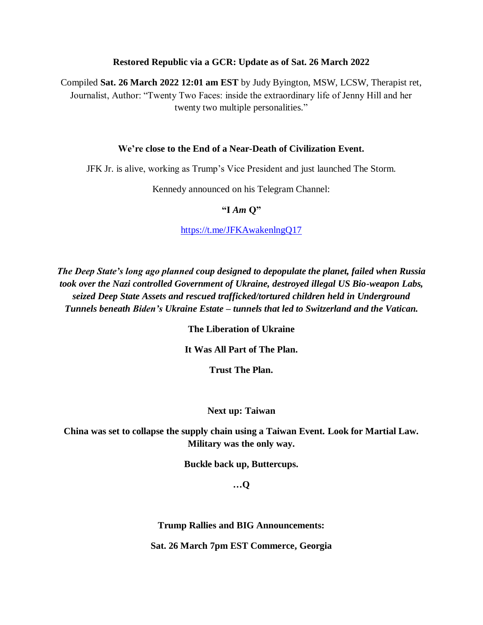#### **Restored Republic via a GCR: Update as of Sat. 26 March 2022**

Compiled **Sat. 26 March 2022 12:01 am EST** by Judy Byington, MSW, LCSW, Therapist ret, Journalist, Author: "Twenty Two Faces: inside the extraordinary life of Jenny Hill and her twenty two multiple personalities."

#### **We're close to the End of a Near-Death of Civilization Event.**

JFK Jr. is alive, working as Trump's Vice President and just launched The Storm.

Kennedy announced on his Telegram Channel:

#### **"I** *Am* **Q"**

<https://t.me/JFKAwakenlngQ17>

*The Deep State's long ago planned coup designed to depopulate the planet, failed when Russia took over the Nazi controlled Government of Ukraine, destroyed illegal US Bio-weapon Labs, seized Deep State Assets and rescued trafficked/tortured children held in Underground Tunnels beneath Biden's Ukraine Estate – tunnels that led to Switzerland and the Vatican.*

**The Liberation of Ukraine**

**It Was All Part of The Plan.** 

**Trust The Plan.**

#### **Next up: Taiwan**

**China was set to collapse the supply chain using a Taiwan Event. Look for Martial Law. Military was the only way.** 

**Buckle back up, Buttercups.** 

**…Q**

**Trump Rallies and BIG Announcements:**

**Sat. 26 March 7pm EST Commerce, Georgia**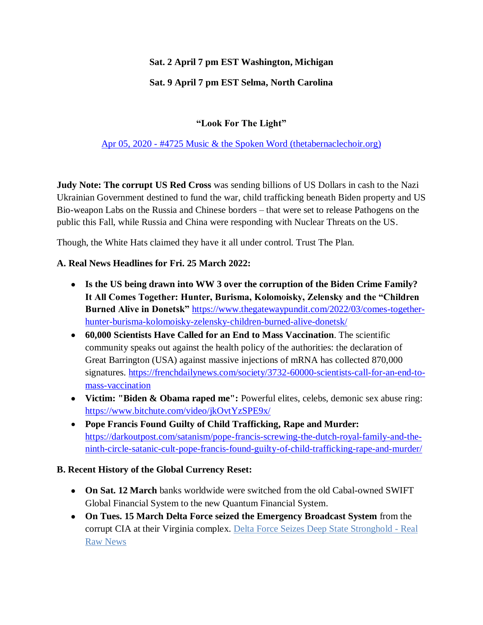### **Sat. 2 April 7 pm EST Washington, Michigan**

# **Sat. 9 April 7 pm EST Selma, North Carolina**

# **"Look For The Light"**

### Apr 05, 2020 - [#4725 Music & the Spoken Word \(thetabernaclechoir.org\)](https://www.thetabernaclechoir.org/videos/april-05-2020-4725-music-and-the-spoken-word.html)

**Judy Note: The corrupt US Red Cross** was sending billions of US Dollars in cash to the Nazi Ukrainian Government destined to fund the war, child trafficking beneath Biden property and US Bio-weapon Labs on the Russia and Chinese borders – that were set to release Pathogens on the public this Fall, while Russia and China were responding with Nuclear Threats on the US.

Though, the White Hats claimed they have it all under control. Trust The Plan.

### **A. Real News Headlines for Fri. 25 March 2022:**

- **Is the US being drawn into WW 3 over the corruption of the Biden Crime Family? It All Comes Together: Hunter, Burisma, Kolomoisky, Zelensky and the "Children Burned Alive in Donetsk"** [https://www.thegatewaypundit.com/2022/03/comes-together](https://www.thegatewaypundit.com/2022/03/comes-together-hunter-burisma-kolomoisky-zelensky-children-burned-alive-donetsk/)[hunter-burisma-kolomoisky-zelensky-children-burned-alive-donetsk/](https://www.thegatewaypundit.com/2022/03/comes-together-hunter-burisma-kolomoisky-zelensky-children-burned-alive-donetsk/)
- **60,000 Scientists Have Called for an End to Mass Vaccination**. The scientific community speaks out against the health policy of the authorities: the declaration of Great Barrington (USA) against massive injections of mRNA has collected 870,000 signatures. [https://frenchdailynews.com/society/3732-60000-scientists-call-for-an-end-to](https://frenchdailynews.com/society/3732-60000-scientists-call-for-an-end-to-mass-vaccination)[mass-vaccination](https://frenchdailynews.com/society/3732-60000-scientists-call-for-an-end-to-mass-vaccination)
- **Victim: "Biden & Obama raped me":** Powerful elites, celebs, demonic sex abuse ring: <https://www.bitchute.com/video/jkOvtYzSPE9x/>
- **Pope Francis Found Guilty of Child Trafficking, Rape and Murder:**  [https://darkoutpost.com/satanism/pope-francis-screwing-the-dutch-royal-family-and-the](https://darkoutpost.com/satanism/pope-francis-screwing-the-dutch-royal-family-and-the-ninth-circle-satanic-cult-pope-francis-found-guilty-of-child-trafficking-rape-and-murder/)[ninth-circle-satanic-cult-pope-francis-found-guilty-of-child-trafficking-rape-and-murder/](https://darkoutpost.com/satanism/pope-francis-screwing-the-dutch-royal-family-and-the-ninth-circle-satanic-cult-pope-francis-found-guilty-of-child-trafficking-rape-and-murder/)

#### **B. Recent History of the Global Currency Reset:**

- **On Sat. 12 March** banks worldwide were switched from the old Cabal-owned SWIFT Global Financial System to the new Quantum Financial System.
- **On Tues. 15 March Delta Force seized the Emergency Broadcast System** from the corrupt CIA at their Virginia complex. [Delta Force Seizes Deep State Stronghold -](https://realrawnews.com/2022/03/delta-force-seizes-deep-state-stronghold/) Real [Raw News](https://realrawnews.com/2022/03/delta-force-seizes-deep-state-stronghold/)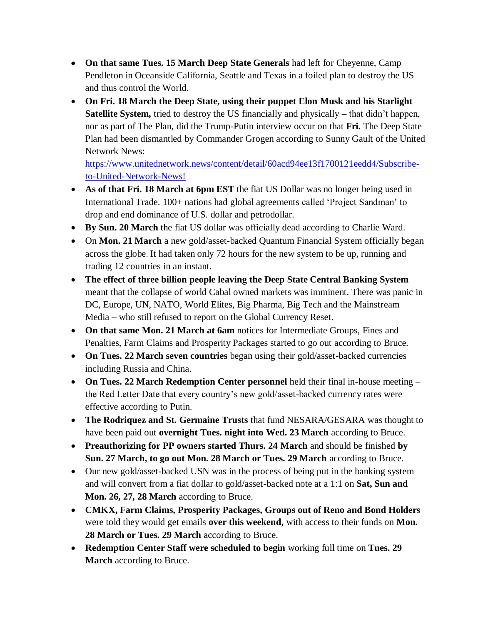- **On that same Tues. 15 March Deep State Generals** had left for Cheyenne, Camp Pendleton in Oceanside California, Seattle and Texas in a foiled plan to destroy the US and thus control the World.
- **On Fri. 18 March the Deep State, using their puppet Elon Musk and his Starlight Satellite System,** tried to destroy the US financially and physically **–** that didn't happen, nor as part of The Plan, did the Trump-Putin interview occur on that **Fri.** The Deep State Plan had been dismantled by Commander Grogen according to Sunny Gault of the United Network News:

[https://www.unitednetwork.news/content/detail/60acd94ee13f1700121eedd4/Subscribe](https://www.unitednetwork.news/content/detail/60acd94ee13f1700121eedd4/Subscribe-to-United-Network-News!)[to-United-Network-News!](https://www.unitednetwork.news/content/detail/60acd94ee13f1700121eedd4/Subscribe-to-United-Network-News!)

- **As of that Fri. 18 March at 6pm EST** the fiat US Dollar was no longer being used in International Trade. 100+ nations had global agreements called ‗Project Sandman' to drop and end dominance of U.S. dollar and petrodollar.
- **By Sun. 20 March** the fiat US dollar was officially dead according to Charlie Ward.
- On **Mon. 21 March** a new gold/asset-backed Quantum Financial System officially began across the globe. It had taken only 72 hours for the new system to be up, running and trading 12 countries in an instant.
- **The effect of three billion people leaving the Deep State Central Banking System** meant that the collapse of world Cabal owned markets was imminent. There was panic in DC, Europe, UN, NATO, World Elites, Big Pharma, Big Tech and the Mainstream Media – who still refused to report on the Global Currency Reset.
- **On that same Mon. 21 March at 6am** notices for Intermediate Groups, Fines and Penalties, Farm Claims and Prosperity Packages started to go out according to Bruce.
- On Tues. 22 March seven countries began using their gold/asset-backed currencies including Russia and China.
- **On Tues. 22 March Redemption Center personnel** held their final in-house meeting the Red Letter Date that every country's new gold/asset-backed currency rates were effective according to Putin.
- **The Rodriquez and St. Germaine Trusts** that fund NESARA/GESARA was thought to have been paid out **overnight Tues. night into Wed. 23 March** according to Bruce.
- **Preauthorizing for PP owners started Thurs. 24 March** and should be finished **by Sun. 27 March, to go out Mon. 28 March or Tues. 29 March** according to Bruce.
- Our new gold/asset-backed USN was in the process of being put in the banking system and will convert from a fiat dollar to gold/asset-backed note at a 1:1 on **Sat, Sun and Mon. 26, 27, 28 March** according to Bruce.
- **CMKX, Farm Claims, Prosperity Packages, Groups out of Reno and Bond Holders** were told they would get emails **over this weekend,** with access to their funds on **Mon. 28 March or Tues. 29 March** according to Bruce.
- **Redemption Center Staff were scheduled to begin** working full time on **Tues. 29 March** according to Bruce.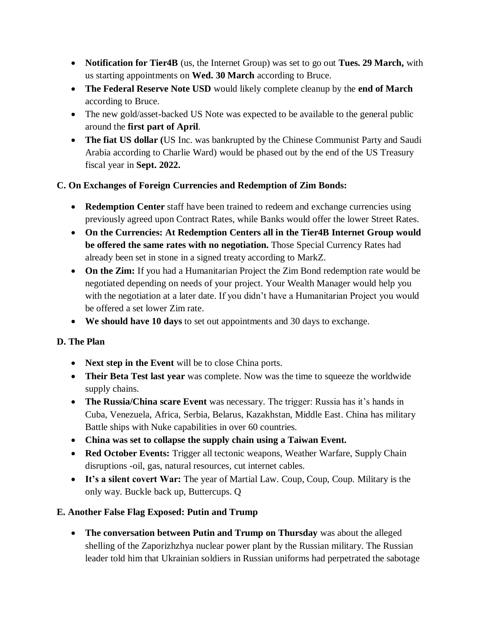- **Notification for Tier4B** (us, the Internet Group) was set to go out **Tues. 29 March,** with us starting appointments on **Wed. 30 March** according to Bruce.
- **The Federal Reserve Note USD** would likely complete cleanup by the **end of March** according to Bruce.
- The new gold/asset-backed US Note was expected to be available to the general public around the **first part of April**.
- **The fiat US dollar (**US Inc. was bankrupted by the Chinese Communist Party and Saudi Arabia according to Charlie Ward) would be phased out by the end of the US Treasury fiscal year in **Sept. 2022.**

### **C. On Exchanges of Foreign Currencies and Redemption of Zim Bonds:**

- **Redemption Center** staff have been trained to redeem and exchange currencies using previously agreed upon Contract Rates, while Banks would offer the lower Street Rates.
- **On the Currencies: At Redemption Centers all in the Tier4B Internet Group would be offered the same rates with no negotiation.** Those Special Currency Rates had already been set in stone in a signed treaty according to MarkZ.
- On the Zim: If you had a Humanitarian Project the Zim Bond redemption rate would be negotiated depending on needs of your project. Your Wealth Manager would help you with the negotiation at a later date. If you didn't have a Humanitarian Project you would be offered a set lower Zim rate.
- **We should have 10 days** to set out appointments and 30 days to exchange.

### **D. The Plan**

- **Next step in the Event** will be to close China ports.
- **Their Beta Test last year** was complete. Now was the time to squeeze the worldwide supply chains.
- **The Russia/China scare Event** was necessary. The trigger: Russia has it's hands in Cuba, Venezuela, Africa, Serbia, Belarus, Kazakhstan, Middle East. China has military Battle ships with Nuke capabilities in over 60 countries.
- **China was set to collapse the supply chain using a Taiwan Event.**
- **Red October Events:** Trigger all tectonic weapons, Weather Warfare, Supply Chain disruptions -oil, gas, natural resources, cut internet cables.
- **It's a silent covert War:** The year of Martial Law. Coup, Coup, Coup. Military is the only way. Buckle back up, Buttercups. Q

# **E. Another False Flag Exposed: Putin and Trump**

 **The conversation between Putin and Trump on Thursday** was about the alleged shelling of the Zaporizhzhya nuclear power plant by the Russian military. The Russian leader told him that Ukrainian soldiers in Russian uniforms had perpetrated the sabotage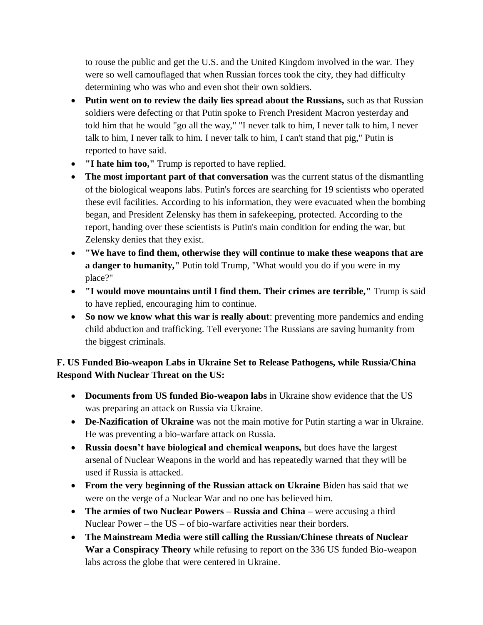to rouse the public and get the U.S. and the United Kingdom involved in the war. They were so well camouflaged that when Russian forces took the city, they had difficulty determining who was who and even shot their own soldiers.

- Putin went on to review the daily lies spread about the Russians, such as that Russian soldiers were defecting or that Putin spoke to French President Macron yesterday and told him that he would "go all the way," "I never talk to him, I never talk to him, I never talk to him, I never talk to him. I never talk to him, I can't stand that pig," Putin is reported to have said.
- **"I hate him too,"** Trump is reported to have replied.
- The most important part of that conversation was the current status of the dismantling of the biological weapons labs. Putin's forces are searching for 19 scientists who operated these evil facilities. According to his information, they were evacuated when the bombing began, and President Zelensky has them in safekeeping, protected. According to the report, handing over these scientists is Putin's main condition for ending the war, but Zelensky denies that they exist.
- **"We have to find them, otherwise they will continue to make these weapons that are a danger to humanity,"** Putin told Trump, "What would you do if you were in my place?"
- **"I would move mountains until I find them. Their crimes are terrible,"** Trump is said to have replied, encouraging him to continue.
- **So now we know what this war is really about**: preventing more pandemics and ending child abduction and trafficking. Tell everyone: The Russians are saving humanity from the biggest criminals.

# **F. US Funded Bio-weapon Labs in Ukraine Set to Release Pathogens, while Russia/China Respond With Nuclear Threat on the US:**

- **Documents from US funded Bio-weapon labs** in Ukraine show evidence that the US was preparing an attack on Russia via Ukraine.
- **De-Nazification of Ukraine** was not the main motive for Putin starting a war in Ukraine. He was preventing a bio-warfare attack on Russia.
- **Russia doesn't have biological and chemical weapons,** but does have the largest arsenal of Nuclear Weapons in the world and has repeatedly warned that they will be used if Russia is attacked.
- **From the very beginning of the Russian attack on Ukraine Biden has said that we** were on the verge of a Nuclear War and no one has believed him.
- **The armies of two Nuclear Powers – Russia and China –** were accusing a third Nuclear Power – the US – of bio-warfare activities near their borders.
- **The Mainstream Media were still calling the Russian/Chinese threats of Nuclear War a Conspiracy Theory** while refusing to report on the 336 US funded Bio-weapon labs across the globe that were centered in Ukraine.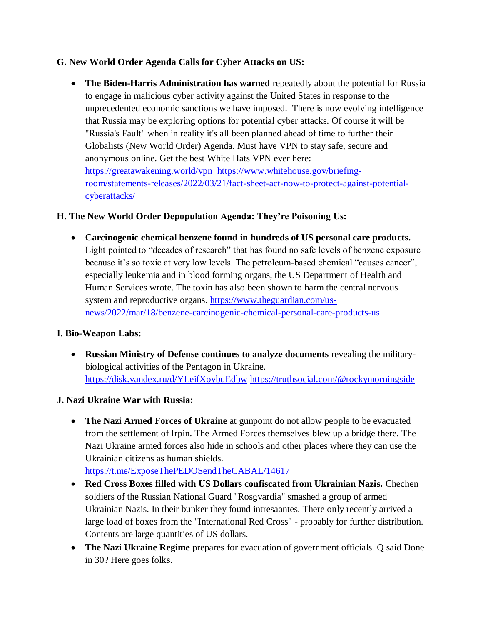### **G. New World Order Agenda Calls for Cyber Attacks on US:**

**• The Biden-Harris Administration has warned** repeatedly about the potential for Russia to engage in malicious cyber activity against the United States in response to the unprecedented economic sanctions we have imposed. There is now evolving intelligence that Russia may be exploring options for potential cyber attacks. Of course it will be "Russia's Fault" when in reality it's all been planned ahead of time to further their Globalists (New World Order) Agenda. Must have VPN to stay safe, secure and anonymous online. Get the best White Hats VPN ever here: <https://greatawakening.world/vpn>[https://www.whitehouse.gov/briefing](https://www.whitehouse.gov/briefing-room/statements-releases/2022/03/21/fact-sheet-act-now-to-protect-against-potential-cyberattacks/)[room/statements-releases/2022/03/21/fact-sheet-act-now-to-protect-against-potential](https://www.whitehouse.gov/briefing-room/statements-releases/2022/03/21/fact-sheet-act-now-to-protect-against-potential-cyberattacks/)[cyberattacks/](https://www.whitehouse.gov/briefing-room/statements-releases/2022/03/21/fact-sheet-act-now-to-protect-against-potential-cyberattacks/)

### **H. The New World Order Depopulation Agenda: They're Poisoning Us:**

 **Carcinogenic chemical benzene found in hundreds of US personal care products.** Light pointed to "decades of research" that has found no safe levels of benzene exposure because it's so toxic at very low levels. The petroleum-based chemical "causes cancer", especially leukemia and in blood forming organs, the US Department of Health and Human Services wrote. The toxin has also been shown to harm the central nervous system and reproductive organs. [https://www.theguardian.com/us](https://www.theguardian.com/us-news/2022/mar/18/benzene-carcinogenic-chemical-personal-care-products-us)[news/2022/mar/18/benzene-carcinogenic-chemical-personal-care-products-us](https://www.theguardian.com/us-news/2022/mar/18/benzene-carcinogenic-chemical-personal-care-products-us)

#### **I. Bio-Weapon Labs:**

- **Russian Ministry of Defense continues to analyze documents** revealing the militarybiological activities of the Pentagon in Ukraine. <https://disk.yandex.ru/d/YLeifXovbuEdbw> <https://truthsocial.com/@rockymorningside>
- **J. Nazi Ukraine War with Russia:**
	- **The Nazi Armed Forces of Ukraine** at gunpoint do not allow people to be evacuated from the settlement of Irpin. The Armed Forces themselves blew up a bridge there. The Nazi Ukraine armed forces also hide in schools and other places where they can use the Ukrainian citizens as human shields. <https://t.me/ExposeThePEDOSendTheCABAL/14617>
	- **Red Cross Boxes filled with US Dollars confiscated from Ukrainian Nazis.** Chechen soldiers of the Russian National Guard "Rosgvardia" smashed a group of armed Ukrainian Nazis. In their bunker they found intresaantes. There only recently arrived a large load of boxes from the "International Red Cross" - probably for further distribution. Contents are large quantities of US dollars.
	- **The Nazi Ukraine Regime** prepares for evacuation of government officials. Q said Done in 30? Here goes folks.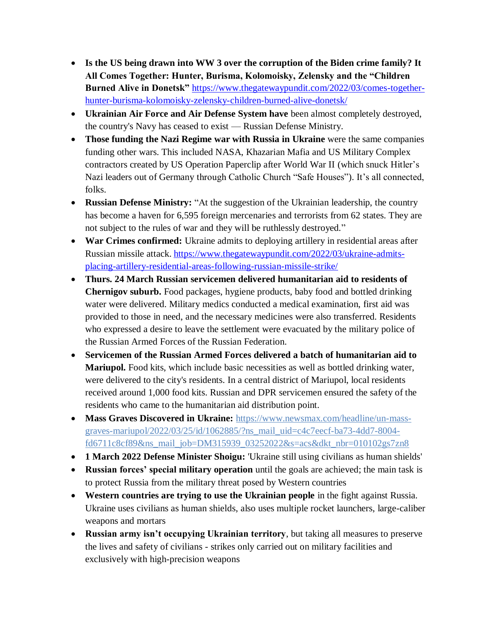- **Is the US being drawn into WW 3 over the corruption of the Biden crime family? It All Comes Together: Hunter, Burisma, Kolomoisky, Zelensky and the "Children Burned Alive in Donetsk"** [https://www.thegatewaypundit.com/2022/03/comes-together](https://www.thegatewaypundit.com/2022/03/comes-together-hunter-burisma-kolomoisky-zelensky-children-burned-alive-donetsk/)[hunter-burisma-kolomoisky-zelensky-children-burned-alive-donetsk/](https://www.thegatewaypundit.com/2022/03/comes-together-hunter-burisma-kolomoisky-zelensky-children-burned-alive-donetsk/)
- **Ukrainian Air Force and Air Defense System have** been almost completely destroyed, the country's Navy has ceased to exist — Russian Defense Ministry.
- **Those funding the Nazi Regime war with Russia in Ukraine** were the same companies funding other wars. This included NASA, Khazarian Mafia and US Military Complex contractors created by US Operation Paperclip after World War II (which snuck Hitler's Nazi leaders out of Germany through Catholic Church "Safe Houses"). It's all connected, folks.
- Russian Defense Ministry: "At the suggestion of the Ukrainian leadership, the country has become a haven for 6,595 foreign mercenaries and terrorists from 62 states. They are not subject to the rules of war and they will be ruthlessly destroyed."
- **War Crimes confirmed:** Ukraine admits to deploying artillery in residential areas after Russian missile attack. [https://www.thegatewaypundit.com/2022/03/ukraine-admits](https://www.thegatewaypundit.com/2022/03/ukraine-admits-placing-artillery-residential-areas-following-russian-missile-strike/)[placing-artillery-residential-areas-following-russian-missile-strike/](https://www.thegatewaypundit.com/2022/03/ukraine-admits-placing-artillery-residential-areas-following-russian-missile-strike/)
- **Thurs. 24 March Russian servicemen delivered humanitarian aid to residents of Chernigov suburb.** Food packages, hygiene products, baby food and bottled drinking water were delivered. Military medics conducted a medical examination, first aid was provided to those in need, and the necessary medicines were also transferred. Residents who expressed a desire to leave the settlement were evacuated by the military police of the Russian Armed Forces of the Russian Federation.
- **Servicemen of the Russian Armed Forces delivered a batch of humanitarian aid to Mariupol.** Food kits, which include basic necessities as well as bottled drinking water, were delivered to the city's residents. In a central district of Mariupol, local residents received around 1,000 food kits. Russian and DPR servicemen ensured the safety of the residents who came to the humanitarian aid distribution point.
- **Mass Graves Discovered in Ukraine:** [https://www.newsmax.com/headline/un-mass](https://www.newsmax.com/headline/un-mass-graves-mariupol/2022/03/25/id/1062885/?ns_mail_uid=c4c7eecf-ba73-4dd7-8004-fd6711c8cf89&ns_mail_job=DM315939_03252022&s=acs&dkt_nbr=010102gs7zn8)[graves-mariupol/2022/03/25/id/1062885/?ns\\_mail\\_uid=c4c7eecf-ba73-4dd7-8004](https://www.newsmax.com/headline/un-mass-graves-mariupol/2022/03/25/id/1062885/?ns_mail_uid=c4c7eecf-ba73-4dd7-8004-fd6711c8cf89&ns_mail_job=DM315939_03252022&s=acs&dkt_nbr=010102gs7zn8) [fd6711c8cf89&ns\\_mail\\_job=DM315939\\_03252022&s=acs&dkt\\_nbr=010102gs7zn8](https://www.newsmax.com/headline/un-mass-graves-mariupol/2022/03/25/id/1062885/?ns_mail_uid=c4c7eecf-ba73-4dd7-8004-fd6711c8cf89&ns_mail_job=DM315939_03252022&s=acs&dkt_nbr=010102gs7zn8)
- **1 March 2022 Defense Minister Shoigu:** 'Ukraine still using civilians as human shields'
- **Russian forces' special military operation** until the goals are achieved; the main task is to protect Russia from the military threat posed by Western countries
- **Western countries are trying to use the Ukrainian people** in the fight against Russia. Ukraine uses civilians as human shields, also uses multiple rocket launchers, large-caliber weapons and mortars
- **Russian army isn't occupying Ukrainian territory**, but taking all measures to preserve the lives and safety of civilians - strikes only carried out on military facilities and exclusively with high-precision weapons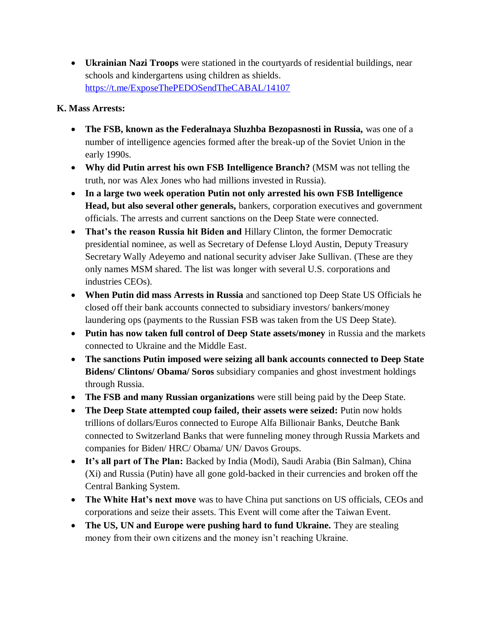**Ukrainian Nazi Troops** were stationed in the courtyards of residential buildings, near schools and kindergartens using children as shields. <https://t.me/ExposeThePEDOSendTheCABAL/14107>

### **K. Mass Arrests:**

- **The FSB, known as the Federalnaya Sluzhba Bezopasnosti in Russia,** was one of a number of intelligence agencies formed after the break-up of the Soviet Union in the early 1990s.
- **Why did Putin arrest his own FSB Intelligence Branch?** (MSM was not telling the truth, nor was Alex Jones who had millions invested in Russia).
- **In a large two week operation Putin not only arrested his own FSB Intelligence Head, but also several other generals,** bankers, corporation executives and government officials. The arrests and current sanctions on the Deep State were connected.
- **That's the reason Russia hit Biden and** Hillary Clinton, the former Democratic presidential nominee, as well as Secretary of Defense Lloyd Austin, Deputy Treasury Secretary Wally Adeyemo and national security adviser Jake Sullivan. (These are they only names MSM shared. The list was longer with several U.S. corporations and industries CEOs).
- **When Putin did mass Arrests in Russia** and sanctioned top Deep State US Officials he closed off their bank accounts connected to subsidiary investors/ bankers/money laundering ops (payments to the Russian FSB was taken from the US Deep State).
- **Putin has now taken full control of Deep State assets/money** in Russia and the markets connected to Ukraine and the Middle East.
- **The sanctions Putin imposed were seizing all bank accounts connected to Deep State Bidens/ Clintons/ Obama/ Soros** subsidiary companies and ghost investment holdings through Russia.
- **The FSB and many Russian organizations** were still being paid by the Deep State.
- **The Deep State attempted coup failed, their assets were seized:** Putin now holds trillions of dollars/Euros connected to Europe Alfa Billionair Banks, Deutche Bank connected to Switzerland Banks that were funneling money through Russia Markets and companies for Biden/ HRC/ Obama/ UN/ Davos Groups.
- **It's all part of The Plan:** Backed by India (Modi), Saudi Arabia (Bin Salman), China (Xi) and Russia (Putin) have all gone gold-backed in their currencies and broken off the Central Banking System.
- **The White Hat's next move** was to have China put sanctions on US officials, CEOs and corporations and seize their assets. This Event will come after the Taiwan Event.
- The US, UN and Europe were pushing hard to fund Ukraine. They are stealing money from their own citizens and the money isn't reaching Ukraine.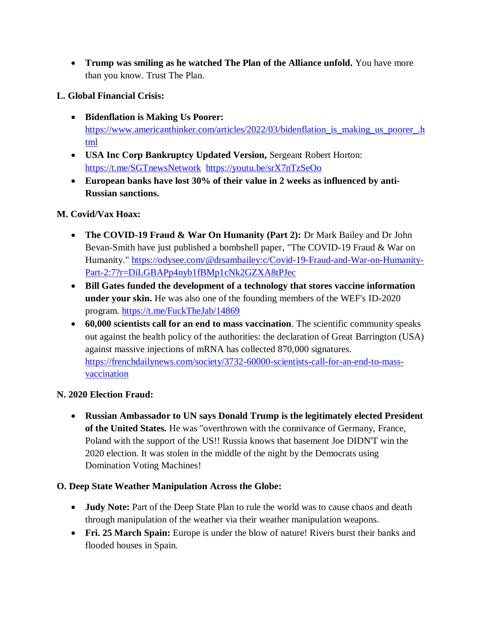**Trump was smiling as he watched The Plan of the Alliance unfold.** You have more than you know. Trust The Plan.

### **L. Global Financial Crisis:**

- **Bidenflation is Making Us Poorer:**  [https://www.americanthinker.com/articles/2022/03/bidenflation\\_is\\_making\\_us\\_poorer\\_.h](https://www.americanthinker.com/articles/2022/03/bidenflation_is_making_us_poorer_.html) [tml](https://www.americanthinker.com/articles/2022/03/bidenflation_is_making_us_poorer_.html)
- **USA Inc Corp Bankruptcy Updated Version,** Sergeant Robert Horton: <https://t.me/SGTnewsNetwork> <https://youtu.be/srX7nTzSeOo>
- **European banks have lost 30% of their value in 2 weeks as influenced by anti-Russian sanctions.**

# **M. Covid/Vax Hoax:**

- **The COVID-19 Fraud & War On Humanity (Part 2):** Dr Mark Bailey and Dr John Bevan-Smith have just published a bombshell paper, "The COVID-19 Fraud & War on Humanity." [https://odysee.com/@drsambailey:c/Covid-19-Fraud-and-War-on-Humanity-](https://odysee.com/@drsambailey:c/Covid-19-Fraud-and-War-on-Humanity-Part-2:7?r=DiLGBAPp4nyb1fBMp1cNk2GZXA8tPJec)[Part-2:7?r=DiLGBAPp4nyb1fBMp1cNk2GZXA8tPJec](https://odysee.com/@drsambailey:c/Covid-19-Fraud-and-War-on-Humanity-Part-2:7?r=DiLGBAPp4nyb1fBMp1cNk2GZXA8tPJec)
- **Bill Gates funded the development of a technology that stores vaccine information under your skin.** He was also one of the founding members of the WEF's ID-2020 program.<https://t.me/FuckTheJab/14869>
- **60,000 scientists call for an end to mass vaccination**. The scientific community speaks out against the health policy of the authorities: the declaration of Great Barrington (USA) against massive injections of mRNA has collected 870,000 signatures. [https://frenchdailynews.com/society/3732-60000-scientists-call-for-an-end-to-mass](https://frenchdailynews.com/society/3732-60000-scientists-call-for-an-end-to-mass-vaccination)[vaccination](https://frenchdailynews.com/society/3732-60000-scientists-call-for-an-end-to-mass-vaccination)

# **N. 2020 Election Fraud:**

 **Russian Ambassador to UN says Donald Trump is the legitimately elected President of the United States.** He was "overthrown with the connivance of Germany, France, Poland with the support of the US!! Russia knows that basement Joe DIDN'T win the 2020 election. It was stolen in the middle of the night by the Democrats using Domination Voting Machines!

### **O. Deep State Weather Manipulation Across the Globe:**

- **Judy Note:** Part of the Deep State Plan to rule the world was to cause chaos and death through manipulation of the weather via their weather manipulation weapons.
- **Fri. 25 March Spain:** Europe is under the blow of nature! Rivers burst their banks and flooded houses in Spain.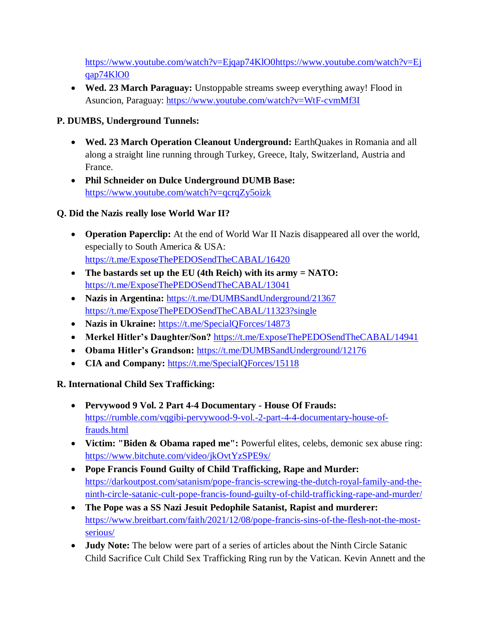[https://www.youtube.com/watch?v=Ejqap74KlO0https://www.youtube.com/watch?v=Ej](https://www.youtube.com/watch?v=Ejqap74KlO0https://www.youtube.com/watch?v=Ejqap74KlO0) [qap74KlO0](https://www.youtube.com/watch?v=Ejqap74KlO0https://www.youtube.com/watch?v=Ejqap74KlO0)

 **Wed. 23 March Paraguay:** Unstoppable streams sweep everything away! Flood in Asuncion, Paraguay:<https://www.youtube.com/watch?v=WtF-cvmMf3I>

# **P. DUMBS, Underground Tunnels:**

- **Wed. 23 March Operation Cleanout Underground:** EarthQuakes in Romania and all along a straight line running through Turkey, Greece, Italy, Switzerland, Austria and France.
- **Phil Schneider on Dulce Underground DUMB Base:**  <https://www.youtube.com/watch?v=qcrqZy5oizk>

# **Q. Did the Nazis really lose World War II?**

- **Operation Paperclip:** At the end of World War II Nazis disappeared all over the world, especially to South America & USA: <https://t.me/ExposeThePEDOSendTheCABAL/16420>
- **The bastards set up the EU (4th Reich) with its army = NATO:**  <https://t.me/ExposeThePEDOSendTheCABAL/13041>
- Nazis in Argentina: <https://t.me/DUMBSandUnderground/21367> <https://t.me/ExposeThePEDOSendTheCABAL/11323?single>
- **Nazis in Ukraine:** <https://t.me/SpecialQForces/14873>
- **Merkel Hitler's Daughter/Son?** <https://t.me/ExposeThePEDOSendTheCABAL/14941>
- **Obama Hitler's Grandson:** <https://t.me/DUMBSandUnderground/12176>
- **CIA and Company:** <https://t.me/SpecialQForces/15118>

# **R. International Child Sex Trafficking:**

- **Pervywood 9 Vol. 2 Part 4-4 Documentary - House Of Frauds:**  [https://rumble.com/vqgibi-pervywood-9-vol.-2-part-4-4-documentary-house-of](https://rumble.com/vqgibi-pervywood-9-vol.-2-part-4-4-documentary-house-of-frauds.html)[frauds.html](https://rumble.com/vqgibi-pervywood-9-vol.-2-part-4-4-documentary-house-of-frauds.html)
- **Victim: "Biden & Obama raped me":** Powerful elites, celebs, demonic sex abuse ring: <https://www.bitchute.com/video/jkOvtYzSPE9x/>
- **Pope Francis Found Guilty of Child Trafficking, Rape and Murder:**  [https://darkoutpost.com/satanism/pope-francis-screwing-the-dutch-royal-family-and-the](https://darkoutpost.com/satanism/pope-francis-screwing-the-dutch-royal-family-and-the-ninth-circle-satanic-cult-pope-francis-found-guilty-of-child-trafficking-rape-and-murder/)[ninth-circle-satanic-cult-pope-francis-found-guilty-of-child-trafficking-rape-and-murder/](https://darkoutpost.com/satanism/pope-francis-screwing-the-dutch-royal-family-and-the-ninth-circle-satanic-cult-pope-francis-found-guilty-of-child-trafficking-rape-and-murder/)
- **The Pope was a SS Nazi Jesuit Pedophile Satanist, Rapist and murderer:**  [https://www.breitbart.com/faith/2021/12/08/pope-francis-sins-of-the-flesh-not-the-most](https://www.breitbart.com/faith/2021/12/08/pope-francis-sins-of-the-flesh-not-the-most-serious/)[serious/](https://www.breitbart.com/faith/2021/12/08/pope-francis-sins-of-the-flesh-not-the-most-serious/)
- **Judy Note:** The below were part of a series of articles about the Ninth Circle Satanic Child Sacrifice Cult Child Sex Trafficking Ring run by the Vatican. Kevin Annett and the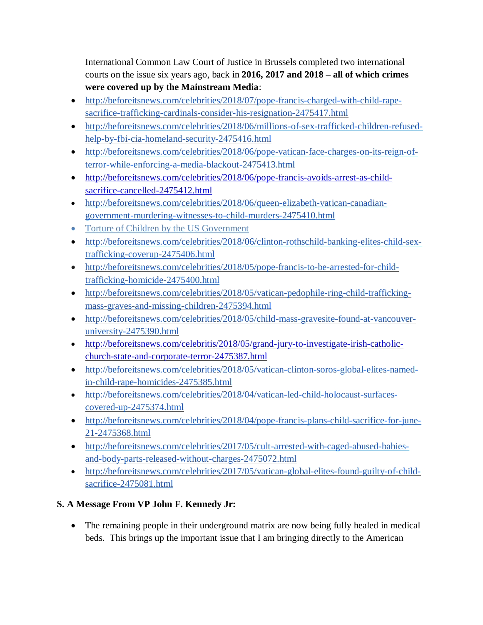International Common Law Court of Justice in Brussels completed two international courts on the issue six years ago, back in **2016, 2017 and 2018 – all of which crimes were covered up by the Mainstream Media**:

- [http://beforeitsnews.com/celebrities/2018/07/pope-francis-charged-with-child-rape](http://beforeitsnews.com/celebrities/2018/07/pope-francis-charged-with-child-rape-sacrifice-trafficking-cardinals-consider-his-resignation-2475417.html)[sacrifice-trafficking-cardinals-consider-his-resignation-2475417.html](http://beforeitsnews.com/celebrities/2018/07/pope-francis-charged-with-child-rape-sacrifice-trafficking-cardinals-consider-his-resignation-2475417.html)
- [http://beforeitsnews.com/celebrities/2018/06/millions-of-sex-trafficked-children-refused](http://beforeitsnews.com/celebrities/2018/06/millions-of-sex-trafficked-children-refused-help-by-fbi-cia-homeland-security-2475416.html)[help-by-fbi-cia-homeland-security-2475416.html](http://beforeitsnews.com/celebrities/2018/06/millions-of-sex-trafficked-children-refused-help-by-fbi-cia-homeland-security-2475416.html)
- [http://beforeitsnews.com/celebrities/2018/06/pope-vatican-face-charges-on-its-reign-of](http://beforeitsnews.com/celebrities/2018/06/pope-vatican-face-charges-on-its-reign-of-terror-while-enforcing-a-media-blackout-2475413.html)[terror-while-enforcing-a-media-blackout-2475413.html](http://beforeitsnews.com/celebrities/2018/06/pope-vatican-face-charges-on-its-reign-of-terror-while-enforcing-a-media-blackout-2475413.html)
- [http://beforeitsnews.com/celebrities/2018/06/pope-francis-avoids-arrest-as-child](http://beforeitsnews.com/celebrities/2018/06/pope-francis-avoids-arrest-as-child-sacrifice-cancelled-2475412.html)[sacrifice-cancelled-2475412.html](http://beforeitsnews.com/celebrities/2018/06/pope-francis-avoids-arrest-as-child-sacrifice-cancelled-2475412.html)
- [http://beforeitsnews.com/celebrities/2018/06/queen-elizabeth-vatican-canadian](http://beforeitsnews.com/celebrities/2018/06/queen-elizabeth-vatican-canadian-government-murdering-witnesses-to-child-murders-2475410.html)[government-murdering-witnesses-to-child-murders-2475410.html](http://beforeitsnews.com/celebrities/2018/06/queen-elizabeth-vatican-canadian-government-murdering-witnesses-to-child-murders-2475410.html)
- [Torture of Children by the US Government](http://beforeitsnews.com/celebrities/2018/06/torture-of-children-by-the-us-government-2475409.html)
- [http://beforeitsnews.com/celebrities/2018/06/clinton-rothschild-banking-elites-child-sex](http://beforeitsnews.com/celebrities/2018/06/clinton-rothschild-banking-elites-child-sex-trafficking-coverup-2475406.html)[trafficking-coverup-2475406.html](http://beforeitsnews.com/celebrities/2018/06/clinton-rothschild-banking-elites-child-sex-trafficking-coverup-2475406.html)
- [http://beforeitsnews.com/celebrities/2018/05/pope-francis-to-be-arrested-for-child](http://beforeitsnews.com/celebrities/2018/05/pope-francis-to-be-arrested-for-child-trafficking-homicide-2475400.html)[trafficking-homicide-2475400.html](http://beforeitsnews.com/celebrities/2018/05/pope-francis-to-be-arrested-for-child-trafficking-homicide-2475400.html)
- [http://beforeitsnews.com/celebrities/2018/05/vatican-pedophile-ring-child-trafficking](http://beforeitsnews.com/celebrities/2018/05/vatican-pedophile-ring-child-trafficking-mass-graves-and-missing-children-2475394.html)[mass-graves-and-missing-children-2475394.html](http://beforeitsnews.com/celebrities/2018/05/vatican-pedophile-ring-child-trafficking-mass-graves-and-missing-children-2475394.html)
- [http://beforeitsnews.com/celebrities/2018/05/child-mass-gravesite-found-at-vancouver](http://beforeitsnews.com/celebrities/2018/05/child-mass-gravesite-found-at-vancouver-university-2475390.html)[university-2475390.html](http://beforeitsnews.com/celebrities/2018/05/child-mass-gravesite-found-at-vancouver-university-2475390.html)
- [http://beforeitsnews.com/celebritis/2018/05/grand-jury-to-investigate-irish-catholic](http://beforeitsnews.com/celebritis/2018/05/grand-jury-to-investigate-irish-catholic-church-state-and-corporate-terror-2475387.html)[church-state-and-corporate-terror-2475387.html](http://beforeitsnews.com/celebritis/2018/05/grand-jury-to-investigate-irish-catholic-church-state-and-corporate-terror-2475387.html)
- [http://beforeitsnews.com/celebrities/2018/05/vatican-clinton-soros-global-elites-named](http://beforeitsnews.com/celebrities/2018/05/vatican-clinton-soros-global-elites-named-in-child-rape-homicides-2475385.html)[in-child-rape-homicides-2475385.html](http://beforeitsnews.com/celebrities/2018/05/vatican-clinton-soros-global-elites-named-in-child-rape-homicides-2475385.html)
- [http://beforeitsnews.com/celebrities/2018/04/vatican-led-child-holocaust-surfaces](http://beforeitsnews.com/celebrities/2018/04/vatican-led-child-holocaust-surfaces-covered-up-2475374.html)[covered-up-2475374.html](http://beforeitsnews.com/celebrities/2018/04/vatican-led-child-holocaust-surfaces-covered-up-2475374.html)
- [http://beforeitsnews.com/celebrities/2018/04/pope-francis-plans-child-sacrifice-for-june-](http://beforeitsnews.com/celebrities/2018/04/pope-francis-plans-child-sacrifice-for-june-21-2475368.html)[21-2475368.html](http://beforeitsnews.com/celebrities/2018/04/pope-francis-plans-child-sacrifice-for-june-21-2475368.html)
- [http://beforeitsnews.com/celebrities/2017/05/cult-arrested-with-caged-abused-babies](http://beforeitsnews.com/celebrities/2017/05/cult-arrested-with-caged-abused-babies-and-body-parts-released-without-charges-2475072.html)[and-body-parts-released-without-charges-2475072.html](http://beforeitsnews.com/celebrities/2017/05/cult-arrested-with-caged-abused-babies-and-body-parts-released-without-charges-2475072.html)
- [http://beforeitsnews.com/celebrities/2017/05/vatican-global-elites-found-guilty-of-child](http://beforeitsnews.com/celebrities/2017/05/vatican-global-elites-found-guilty-of-child-sacrifice-2475081.html)[sacrifice-2475081.html](http://beforeitsnews.com/celebrities/2017/05/vatican-global-elites-found-guilty-of-child-sacrifice-2475081.html)

# **S. A Message From VP John F. Kennedy Jr:**

 The remaining people in their underground matrix are now being fully healed in medical beds. This brings up the important issue that I am bringing directly to the American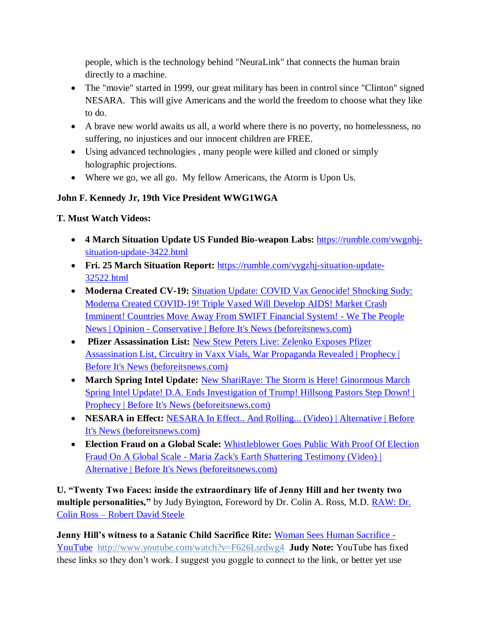people, which is the technology behind "NeuraLink" that connects the human brain directly to a machine.

- The "movie" started in 1999, our great military has been in control since "Clinton" signed NESARA. This will give Americans and the world the freedom to choose what they like to do.
- A brave new world awaits us all, a world where there is no poverty, no homelessness, no suffering, no injustices and our innocent children are FREE.
- Using advanced technologies , many people were killed and cloned or simply holographic projections.
- Where we go, we all go. My fellow Americans, the Atorm is Upon Us.

# **John F. Kennedy Jr, 19th Vice President WWG1WGA**

### **T. Must Watch Videos:**

- **4 March Situation Update US Funded Bio-weapon Labs:** [https://rumble.com/vwgnbj](https://rumble.com/vwgnbj-situation-update-3422.html)[situation-update-3422.html](https://rumble.com/vwgnbj-situation-update-3422.html)
- **Fri. 25 March Situation Report:** [https://rumble.com/vygzhj-situation-update-](https://rumble.com/vygzhj-situation-update-32522.html)[32522.html](https://rumble.com/vygzhj-situation-update-32522.html)
- Moderna Created CV-19: Situation Update: COVID Vax Genocide! Shocking Sudy: [Moderna Created COVID-19! Triple Vaxed Will Develop AIDS! Market Crash](https://beforeitsnews.com/opinion-conservative/2022/03/situation-update-covid-vax-genocide-shocking-sudy-moderna-created-covid-19-triple-vaxed-will-develop-aids-market-crash-imminent-countries-move-away-from-swift-financial-system-we-the-people-n-3623396.html)  [Imminent! Countries Move Away From SWIFT Financial System! -](https://beforeitsnews.com/opinion-conservative/2022/03/situation-update-covid-vax-genocide-shocking-sudy-moderna-created-covid-19-triple-vaxed-will-develop-aids-market-crash-imminent-countries-move-away-from-swift-financial-system-we-the-people-n-3623396.html) We The People News | Opinion - [Conservative | Before It's News \(beforeitsnews.com\)](https://beforeitsnews.com/opinion-conservative/2022/03/situation-update-covid-vax-genocide-shocking-sudy-moderna-created-covid-19-triple-vaxed-will-develop-aids-market-crash-imminent-countries-move-away-from-swift-financial-system-we-the-people-n-3623396.html)
- **Pfizer Assassination List: New Stew Peters Live: Zelenko Exposes Pfizer** [Assassination List, Circuitry in Vaxx Vials, War Propaganda Revealed | Prophecy |](https://beforeitsnews.com/prophecy/2022/03/new-stew-peters-live-zelenko-exposes-pfizer-assassination-list-circuitry-in-vaxx-vials-war-propaganda-revealed-2529218.html)  [Before It's News \(beforeitsnews.com\)](https://beforeitsnews.com/prophecy/2022/03/new-stew-peters-live-zelenko-exposes-pfizer-assassination-list-circuitry-in-vaxx-vials-war-propaganda-revealed-2529218.html)
- **March Spring Intel Update:** [New ShariRaye: The Storm is Here! Ginormous March](https://beforeitsnews.com/prophecy/2022/03/new-shariraye-ginormous-march-spring-intel-update-d-a-ends-investigation-of-trump-hillsong-pastors-step-down-2529208.html)  [Spring Intel Update! D.A. Ends Investigation of Trump! Hillsong Pastors Step Down! |](https://beforeitsnews.com/prophecy/2022/03/new-shariraye-ginormous-march-spring-intel-update-d-a-ends-investigation-of-trump-hillsong-pastors-step-down-2529208.html)  [Prophecy | Before It's News \(beforeitsnews.com\)](https://beforeitsnews.com/prophecy/2022/03/new-shariraye-ginormous-march-spring-intel-update-d-a-ends-investigation-of-trump-hillsong-pastors-step-down-2529208.html)
- NESARA in Effect: NESARA In Effect.. And Rolling... (Video) | Alternative | Before [It's News \(beforeitsnews.com\)](https://beforeitsnews.com/alternative/2022/03/nesara-in-effect-and-rolling-video-3769810.html)
- **Election Fraud on a Global Scale:** [Whistleblower Goes Public With Proof Of Election](https://beforeitsnews.com/alternative/2022/03/whistleblower-goes-public-with-proof-of-election-fraud-on-a-global-scale-maria-zacks-earth-shattering-testimony-video-3769736.html)  Fraud On A Global Scale - [Maria Zack's Earth Shattering Testimony \(Video\) |](https://beforeitsnews.com/alternative/2022/03/whistleblower-goes-public-with-proof-of-election-fraud-on-a-global-scale-maria-zacks-earth-shattering-testimony-video-3769736.html)  [Alternative | Before It's News \(beforeitsnews.com\)](https://beforeitsnews.com/alternative/2022/03/whistleblower-goes-public-with-proof-of-election-fraud-on-a-global-scale-maria-zacks-earth-shattering-testimony-video-3769736.html)

**U. "Twenty Two Faces: inside the extraordinary life of Jenny Hill and her twenty two multiple personalities,"** by Judy Byington, Foreword by Dr. Colin A. Ross, M.D. **RAW: Dr.** Colin Ross – [Robert David Steele](https://robertdavidsteele.com/dr-colin-ross/)

**Jenny Hill's witness to a Satanic Child Sacrifice Rite:** [Woman Sees Human Sacrifice -](https://www.youtube.com/watch?v=F626Lsrdwg4) [YouTube http://www.youtube.com/watch?v=F626Lsrdwg4](https://www.youtube.com/watch?v=F626Lsrdwg4) **Judy Note:** YouTube has fixed these links so they don't work. I suggest you goggle to connect to the link, or better yet use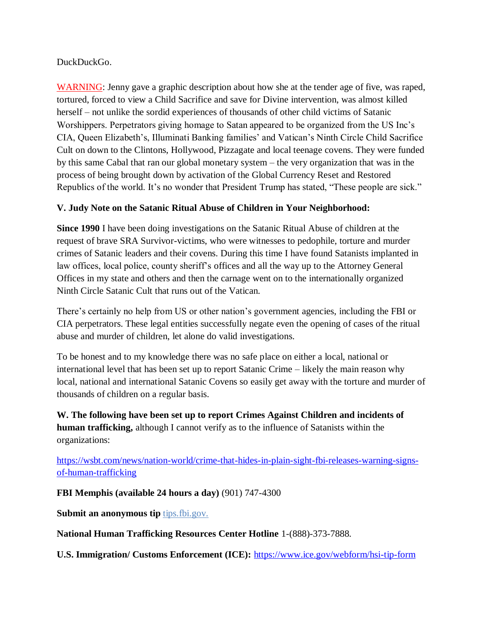#### DuckDuckGo.

WARNING: Jenny gave a graphic description about how she at the tender age of five, was raped, tortured, forced to view a Child Sacrifice and save for Divine intervention, was almost killed herself – not unlike the sordid experiences of thousands of other child victims of Satanic Worshippers. Perpetrators giving homage to Satan appeared to be organized from the US Inc's CIA, Queen Elizabeth's, Illuminati Banking families' and Vatican's Ninth Circle Child Sacrifice Cult on down to the Clintons, Hollywood, Pizzagate and local teenage covens. They were funded by this same Cabal that ran our global monetary system – the very organization that was in the process of being brought down by activation of the Global Currency Reset and Restored Republics of the world. It's no wonder that President Trump has stated, "These people are sick."

#### **V. Judy Note on the Satanic Ritual Abuse of Children in Your Neighborhood:**

**Since 1990** I have been doing investigations on the Satanic Ritual Abuse of children at the request of brave SRA Survivor-victims, who were witnesses to pedophile, torture and murder crimes of Satanic leaders and their covens. During this time I have found Satanists implanted in law offices, local police, county sheriff's offices and all the way up to the Attorney General Offices in my state and others and then the carnage went on to the internationally organized Ninth Circle Satanic Cult that runs out of the Vatican.

There's certainly no help from US or other nation's government agencies, including the FBI or CIA perpetrators. These legal entities successfully negate even the opening of cases of the ritual abuse and murder of children, let alone do valid investigations.

To be honest and to my knowledge there was no safe place on either a local, national or international level that has been set up to report Satanic Crime – likely the main reason why local, national and international Satanic Covens so easily get away with the torture and murder of thousands of children on a regular basis.

**W. The following have been set up to report Crimes Against Children and incidents of human trafficking,** although I cannot verify as to the influence of Satanists within the organizations:

[https://wsbt.com/news/nation-world/crime-that-hides-in-plain-sight-fbi-releases-warning-signs](https://wsbt.com/news/nation-world/crime-that-hides-in-plain-sight-fbi-releases-warning-signs-of-human-trafficking?video=e56ba52a1b9d45ad8c8a033fd83fe480&jwsource=cl)[of-human-trafficking](https://wsbt.com/news/nation-world/crime-that-hides-in-plain-sight-fbi-releases-warning-signs-of-human-trafficking?video=e56ba52a1b9d45ad8c8a033fd83fe480&jwsource=cl)

**FBI Memphis (available 24 hours a day)** (901) 747-4300

**Submit an anonymous tip tips.fbi.gov.** 

**National Human Trafficking Resources Center Hotline** 1-(888)-373-7888.

**U.S. Immigration/ Customs Enforcement (ICE):** <https://www.ice.gov/webform/hsi-tip-form>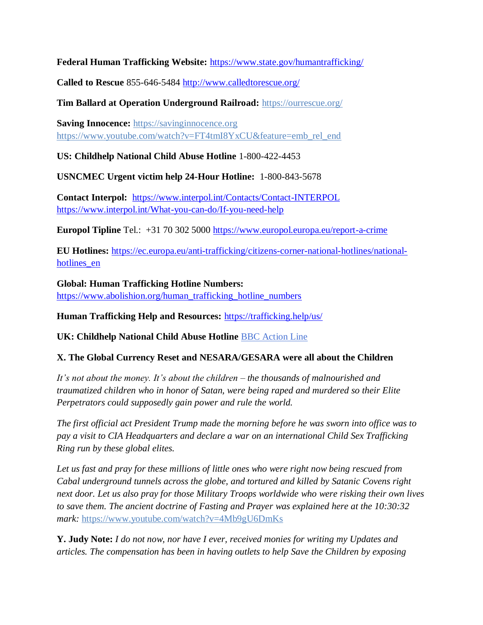**Federal Human Trafficking Website:** <https://www.state.gov/humantrafficking/>

**Called to Rescue** 855-646-5484<http://www.calledtorescue.org/>

**Tim Ballard at Operation Underground Railroad:** <https://ourrescue.org/>

**Saving Innocence:** [https://savinginnocence.org](https://savinginnocence.org/) [https://www.youtube.com/watch?v=FT4tmI8YxCU&feature=emb\\_rel\\_end](https://www.youtube.com/watch?v=FT4tmI8YxCU&feature=emb_rel_end)

**US: Childhelp National Child Abuse Hotline** 1-800-422-4453

**USNCMEC Urgent victim help 24-Hour Hotline:** 1-800-843-5678

**Contact Interpol:** <https://www.interpol.int/Contacts/Contact-INTERPOL> <https://www.interpol.int/What-you-can-do/If-you-need-help>

**Europol Tipline** Tel.: +31 70 302 5000<https://www.europol.europa.eu/report-a-crime>

**EU Hotlines:** [https://ec.europa.eu/anti-trafficking/citizens-corner-national-hotlines/national](https://ec.europa.eu/anti-trafficking/citizens-corner-national-hotlines/national-hotlines_en)[hotlines\\_en](https://ec.europa.eu/anti-trafficking/citizens-corner-national-hotlines/national-hotlines_en)

**Global: Human Trafficking Hotline Numbers:** [https://www.abolishion.org/human\\_trafficking\\_hotline\\_numbers](https://www.abolishion.org/human_trafficking_hotline_numbers)

**Human Trafficking Help and Resources:** <https://trafficking.help/us/>

**UK: Childhelp National Child Abuse Hotline** [BBC Action Line](https://www.bbc.co.uk/actionline)

#### **X. The Global Currency Reset and NESARA/GESARA were all about the Children**

*It's not about the money. It's about the children – the thousands of malnourished and traumatized children who in honor of Satan, were being raped and murdered so their Elite Perpetrators could supposedly gain power and rule the world.* 

*The first official act President Trump made the morning before he was sworn into office was to pay a visit to CIA Headquarters and declare a war on an international Child Sex Trafficking Ring run by these global elites.* 

*Let us fast and pray for these millions of little ones who were right now being rescued from Cabal underground tunnels across the globe, and tortured and killed by Satanic Covens right next door. Let us also pray for those Military Troops worldwide who were risking their own lives to save them. The ancient doctrine of Fasting and Prayer was explained here at the 10:30:32 mark:* <https://www.youtube.com/watch?v=4Mb9gU6DmKs>

**Y. Judy Note:** *I do not now, nor have I ever, received monies for writing my Updates and articles. The compensation has been in having outlets to help Save the Children by exposing*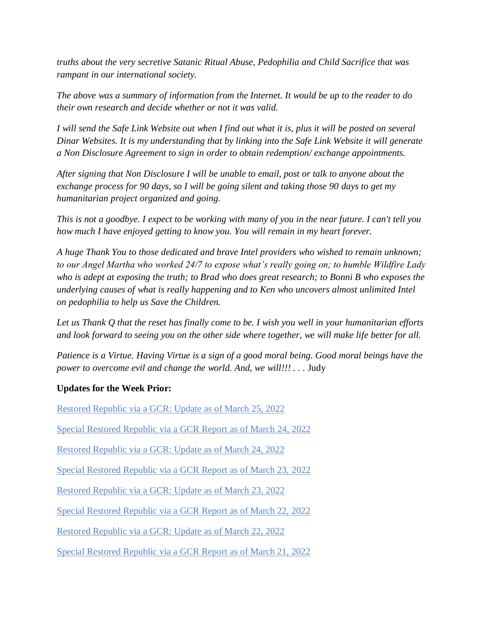*truths about the very secretive Satanic Ritual Abuse, Pedophilia and Child Sacrifice that was rampant in our international society.*

*The above was a summary of information from the Internet. It would be up to the reader to do their own research and decide whether or not it was valid.*

*I will send the Safe Link Website out when I find out what it is, plus it will be posted on several Dinar Websites. It is my understanding that by linking into the Safe Link Website it will generate a Non Disclosure Agreement to sign in order to obtain redemption/ exchange appointments.*

*After signing that Non Disclosure I will be unable to email, post or talk to anyone about the exchange process for 90 days, so I will be going silent and taking those 90 days to get my humanitarian project organized and going.*

*This is not a goodbye. I expect to be working with many of you in the near future. I can't tell you how much I have enjoyed getting to know you. You will remain in my heart forever.*

*A huge Thank You to those dedicated and brave Intel providers who wished to remain unknown; to our Angel Martha who worked 24/7 to expose what's really going on; to humble Wildfire Lady who is adept at exposing the truth; to Brad who does great research; to Bonni B who exposes the underlying causes of what is really happening and to Ken who uncovers almost unlimited Intel on pedophilia to help us Save the Children.*

*Let us Thank Q that the reset has finally come to be. I wish you well in your humanitarian efforts and look forward to seeing you on the other side where together, we will make life better for all.*

*Patience is a Virtue. Having Virtue is a sign of a good moral being. Good moral beings have the power to overcome evil and change the world. And, we will!!!* . . . Judy

#### **Updates for the Week Prior:**

[Restored Republic via a GCR: Update](https://operationdisclosureofficial.com/2022/03/25/restored-republic-via-a-gcr-as-of-march-25-2022/) as of March 25, 2022

[Special Restored Republic via a GCR Report as of March 24, 2022](https://operationdisclosureofficial.com/2022/03/24/special-restored-republic-via-a-gcr-report-as-of-march-24-2022/)

[Restored Republic via a GCR: Update as of March 24, 2022](https://operationdisclosureofficial.com/2022/03/24/restored-republic-via-a-gcr-as-of-march-24-2022/)

[Special Restored Republic via a GCR Report as of March 23,](https://operationdisclosureofficial.com/2022/03/23/special-restored-republic-via-a-gcr-report-as-of-march-23-2022/) 2022

[Restored Republic via a GCR: Update](https://operationdisclosureofficial.com/2022/03/23/restored-republic-via-a-gcr-as-of-march-23-2022/) as of March 23, 2022

[Special Restored Republic via a GCR Report as of March 22, 2022](https://operationdisclosureofficial.com/2022/03/22/special-restored-republic-via-a-gcr-report-as-of-march-22-2022/)

[Restored Republic via a GCR: Update as of March 22, 2022](https://operationdisclosureofficial.com/2022/03/22/restored-republic-via-a-gcr-as-of-march-22-2022/)

[Special Restored Republic via a GCR Report as of March 21, 2022](https://operationdisclosureofficial.com/2022/03/21/special-restored-republic-via-a-gcr-report-as-of-march-21-2022/)